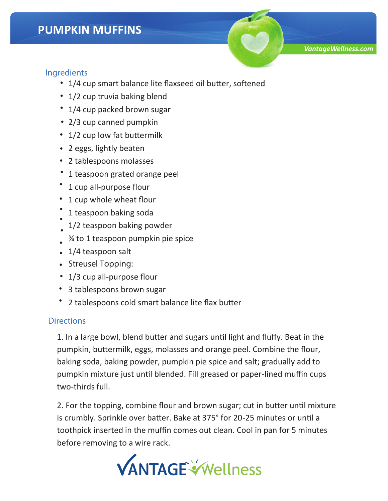## **Ingredients**

- 1/4 cup smart balance lite flaxseed oil butter, softened •
- 1/2 cup truvia baking blend
- 1/4 cup packed brown sugar
- 2/3 cup canned pumpkin
- 1/2 cup low fat buttermilk
- 2 eggs, lightly beaten
- 2 tablespoons molasses •
- 1 teaspoon grated orange peel
- 1 cup all-purpose flour
- 1 cup whole wheat flour
- 1 teaspoon baking soda • •
- 1/2 teaspoon baking powder •
- ¾ to 1 teaspoon pumpkin pie spice •
- 1/4 teaspoon salt
- **Streusel Topping:** •
- 1/3 cup all-purpose flour
- 3 tablespoons brown sugar
- 2 tablespoons cold smart balance lite flax butter •

## **Directions**

1. In a large bowl, blend butter and sugars until light and fluffy. Beat in the pumpkin, buttermilk, eggs, molasses and orange peel. Combine the flour, baking soda, baking powder, pumpkin pie spice and salt; gradually add to pumpkin mixture just until blended. Fill greased or paper-lined muffin cups two-thirds full.

2. For the topping, combine flour and brown sugar; cut in butter until mixture is crumbly. Sprinkle over batter. Bake at 375° for 20-25 minutes or until a toothpick inserted in the muffin comes out clean. Cool in pan for 5 minutes before removing to a wire rack.



*VantageWellness.com*